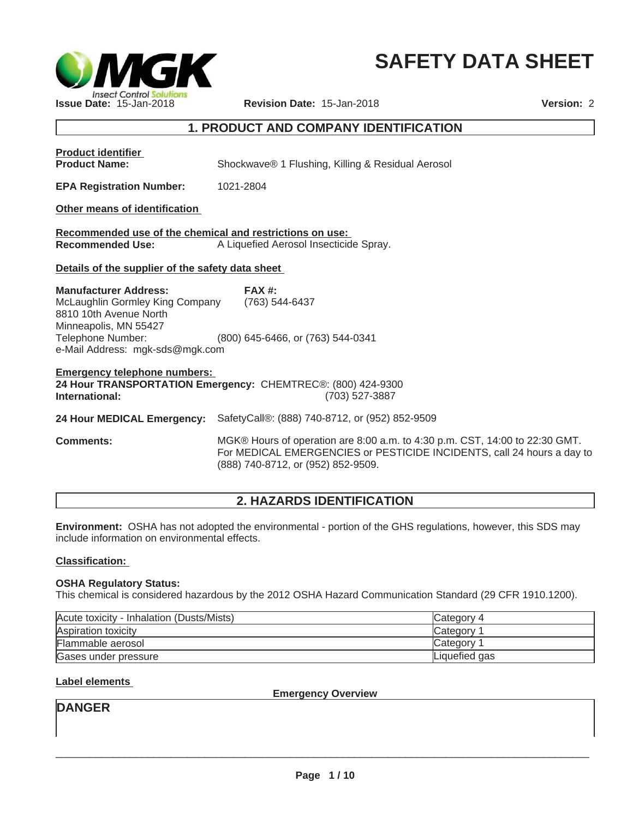

# **SAFETY DATA SHEET**

## **1. PRODUCT AND COMPANY IDENTIFICATION**

| <b>Product identifier</b><br><b>Product Name:</b>                                                                                                                          | Shockwave® 1 Flushing, Killing & Residual Aerosol                                                                                                                                           |
|----------------------------------------------------------------------------------------------------------------------------------------------------------------------------|---------------------------------------------------------------------------------------------------------------------------------------------------------------------------------------------|
| <b>EPA Registration Number:</b>                                                                                                                                            | 1021-2804                                                                                                                                                                                   |
| Other means of identification                                                                                                                                              |                                                                                                                                                                                             |
| Recommended use of the chemical and restrictions on use:<br><b>Recommended Use:</b>                                                                                        | A Liquefied Aerosol Insecticide Spray.                                                                                                                                                      |
| Details of the supplier of the safety data sheet                                                                                                                           |                                                                                                                                                                                             |
| <b>Manufacturer Address:</b><br>McLaughlin Gormley King Company<br>8810 10th Avenue North<br>Minneapolis, MN 55427<br>Telephone Number:<br>e-Mail Address: mgk-sds@mgk.com | FAX #:<br>(763) 544-6437<br>(800) 645-6466, or (763) 544-0341                                                                                                                               |
| <b>Emergency telephone numbers:</b><br>International:                                                                                                                      | 24 Hour TRANSPORTATION Emergency: CHEMTREC®: (800) 424-9300<br>(703) 527-3887                                                                                                               |
|                                                                                                                                                                            | 24 Hour MEDICAL Emergency: SafetyCall®: (888) 740-8712, or (952) 852-9509                                                                                                                   |
| <b>Comments:</b>                                                                                                                                                           | MGK® Hours of operation are 8:00 a.m. to 4:30 p.m. CST, 14:00 to 22:30 GMT.<br>For MEDICAL EMERGENCIES or PESTICIDE INCIDENTS, call 24 hours a day to<br>(888) 740-8712, or (952) 852-9509. |

## **2. HAZARDS IDENTIFICATION**

**Environment:** OSHA has not adopted the environmental - portion of the GHS regulations, however, this SDS may include information on environmental effects.

#### **Classification:**

#### **OSHA Regulatory Status:**

This chemical is considered hazardous by the 2012 OSHA Hazard Communication Standard (29 CFR 1910.1200).

| Acute toxicity - Inhalation (Dusts/Mists) | <b>Category 4</b>     |
|-------------------------------------------|-----------------------|
| Aspiration toxicity                       | Category <sup>2</sup> |
| Flammable aerosol                         | Category <sup>1</sup> |
| Gases under pressure                      | Liquefied gas         |

## **Label elements**

**Emergency Overview**

**DANGER**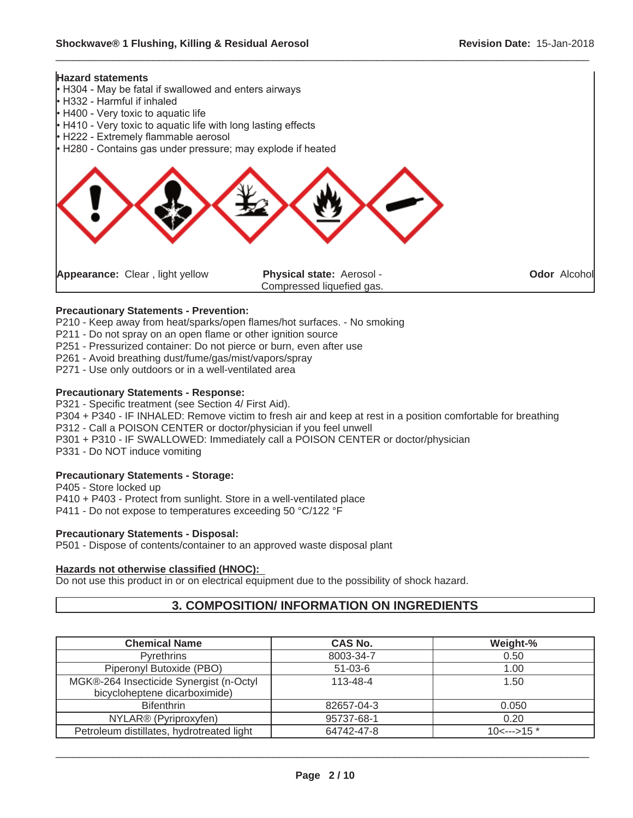

#### **Precautionary Statements - Prevention:**

P210 - Keep away from heat/sparks/open flames/hot surfaces. - No smoking

P211 - Do not spray on an open flame or other ignition source

P251 - Pressurized container: Do not pierce or burn, even after use

- P261 Avoid breathing dust/fume/gas/mist/vapors/spray
- P271 Use only outdoors or in a well-ventilated area

#### **Precautionary Statements - Response:**

P321 - Specific treatment (see Section 4/ First Aid).

P304 + P340 - IF INHALED: Remove victim to fresh air and keep at rest in a position comfortable for breathing

P312 - Call a POISON CENTER or doctor/physician if you feel unwell

P301 + P310 - IF SWALLOWED: Immediately call a POISON CENTER or doctor/physician

P331 - Do NOT induce vomiting

#### **Precautionary Statements - Storage:**

P405 - Store locked up P410 + P403 - Protect from sunlight. Store in a well-ventilated place P411 - Do not expose to temperatures exceeding 50 °C/122 °F

#### **Precautionary Statements - Disposal:**

P501 - Dispose of contents/container to an approved waste disposal plant

#### **Hazards not otherwise classified (HNOC):**

Do not use this product in or on electrical equipment due to the possibility of shock hazard.

## **3. COMPOSITION/ INFORMATION ON INGREDIENTS**

| <b>Chemical Name</b>                      | <b>CAS No.</b> | Weight-%         |
|-------------------------------------------|----------------|------------------|
| <b>Pyrethrins</b>                         | 8003-34-7      | 0.50             |
| Piperonyl Butoxide (PBO)                  | $51-03-6$      | 1.00             |
| MGK®-264 Insecticide Synergist (n-Octyl   | $113 - 48 - 4$ | 1.50             |
| bicycloheptene dicarboximide)             |                |                  |
| <b>Bifenthrin</b>                         | 82657-04-3     | 0.050            |
| NYLAR® (Pyriproxyfen)                     | 95737-68-1     | 0.20             |
| Petroleum distillates, hydrotreated light | 64742-47-8     | $10<$ --->15 $*$ |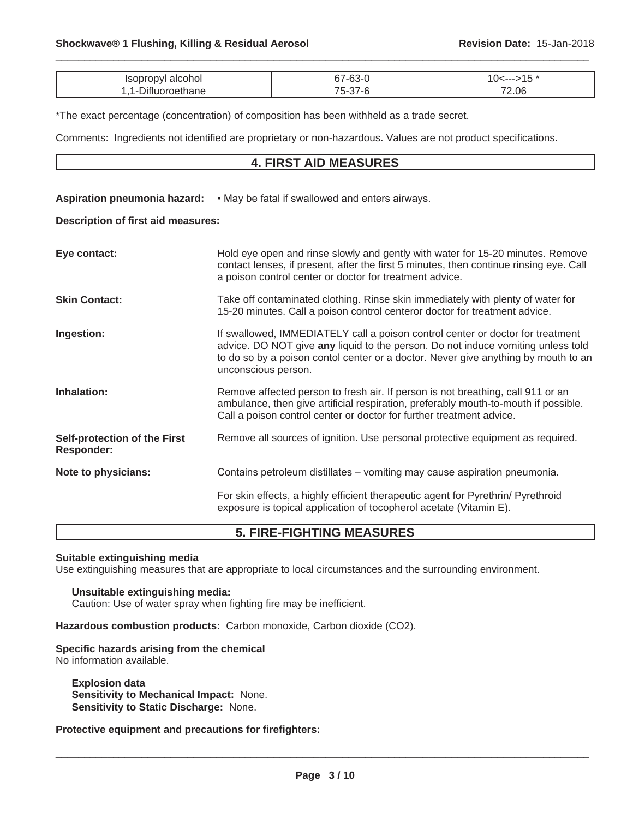| ⊿н | ົ | $\sim$ $-$      |
|----|---|-----------------|
|    | . | .06<br>70.<br>. |

\*The exact percentage (concentration) of composition has been withheld as a trade secret.

Comments: Ingredients not identified are proprietary or non-hazardous. Values are not product specifications.

## **4. FIRST AID MEASURES**

#### Aspiration pneumonia hazard: • May be fatal if swallowed and enters airways.

#### **Description of first aid measures:**

| Eye contact:                                      | Hold eye open and rinse slowly and gently with water for 15-20 minutes. Remove<br>contact lenses, if present, after the first 5 minutes, then continue rinsing eye. Call<br>a poison control center or doctor for treatment advice.                                             |
|---------------------------------------------------|---------------------------------------------------------------------------------------------------------------------------------------------------------------------------------------------------------------------------------------------------------------------------------|
| <b>Skin Contact:</b>                              | Take off contaminated clothing. Rinse skin immediately with plenty of water for<br>15-20 minutes. Call a poison control centeror doctor for treatment advice.                                                                                                                   |
| Ingestion:                                        | If swallowed, IMMEDIATELY call a poison control center or doctor for treatment<br>advice. DO NOT give any liquid to the person. Do not induce vomiting unless told<br>to do so by a poison contol center or a doctor. Never give anything by mouth to an<br>unconscious person. |
| Inhalation:                                       | Remove affected person to fresh air. If person is not breathing, call 911 or an<br>ambulance, then give artificial respiration, preferably mouth-to-mouth if possible.<br>Call a poison control center or doctor for further treatment advice.                                  |
| Self-protection of the First<br><b>Responder:</b> | Remove all sources of ignition. Use personal protective equipment as required.                                                                                                                                                                                                  |
| Note to physicians:                               | Contains petroleum distillates – vomiting may cause aspiration pneumonia.                                                                                                                                                                                                       |
|                                                   | For skin effects, a highly efficient therapeutic agent for Pyrethrin/ Pyrethroid<br>exposure is topical application of tocopherol acetate (Vitamin E).                                                                                                                          |

## **5. FIRE-FIGHTING MEASURES**

#### **Suitable extinguishing media**

Use extinguishing measures that are appropriate to local circumstances and the surrounding environment.

#### **Unsuitable extinguishing media:**

Caution: Use of water spray when fighting fire may be inefficient.

**Hazardous combustion products:** Carbon monoxide, Carbon dioxide (CO2).

#### **Specific hazards arising from the chemical**

No information available.

**Explosion data Sensitivity to Mechanical Impact:** None. **Sensitivity to Static Discharge:** None.

#### **Protective equipment and precautions for firefighters:**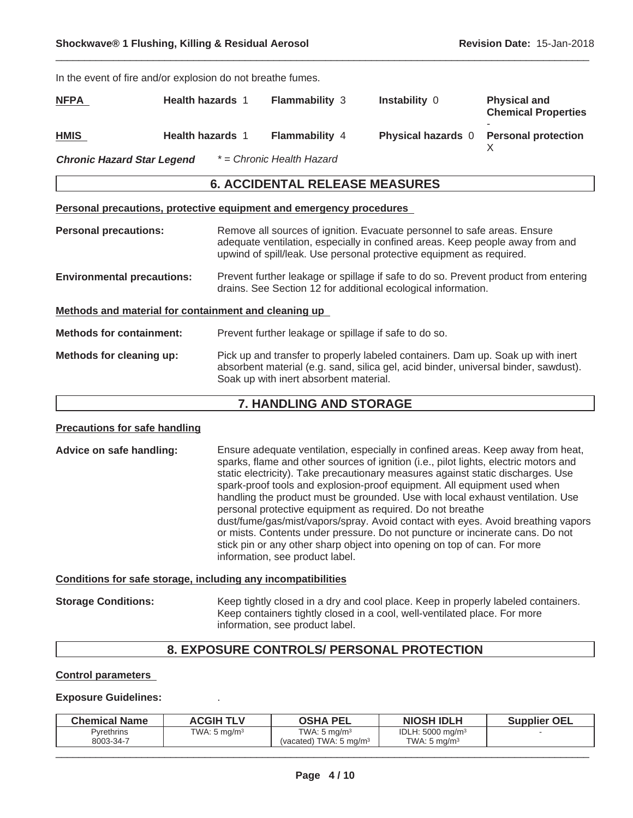| In the event of fire and/or explosion do not breathe fumes.         |                         |                                                                                                                                                                                                                                   |                                                                                 |                                                   |
|---------------------------------------------------------------------|-------------------------|-----------------------------------------------------------------------------------------------------------------------------------------------------------------------------------------------------------------------------------|---------------------------------------------------------------------------------|---------------------------------------------------|
| <b>NFPA</b>                                                         | <b>Health hazards 1</b> | <b>Flammability 3</b>                                                                                                                                                                                                             | Instability 0                                                                   | <b>Physical and</b><br><b>Chemical Properties</b> |
| <b>HMIS</b>                                                         | <b>Health hazards 1</b> | Flammability 4                                                                                                                                                                                                                    | <b>Physical hazards 0</b>                                                       | <b>Personal protection</b><br>X                   |
| <b>Chronic Hazard Star Legend</b>                                   |                         | * = Chronic Health Hazard                                                                                                                                                                                                         |                                                                                 |                                                   |
|                                                                     |                         | <b>6. ACCIDENTAL RELEASE MEASURES</b>                                                                                                                                                                                             |                                                                                 |                                                   |
| Personal precautions, protective equipment and emergency procedures |                         |                                                                                                                                                                                                                                   |                                                                                 |                                                   |
| <b>Personal precautions:</b>                                        |                         | Remove all sources of ignition. Evacuate personnel to safe areas. Ensure<br>adequate ventilation, especially in confined areas. Keep people away from and<br>upwind of spill/leak. Use personal protective equipment as required. |                                                                                 |                                                   |
| <b>Environmental precautions:</b>                                   |                         | Prevent further leakage or spillage if safe to do so. Prevent product from entering<br>drains. See Section 12 for additional ecological information.                                                                              |                                                                                 |                                                   |
| Methods and material for containment and cleaning up                |                         |                                                                                                                                                                                                                                   |                                                                                 |                                                   |
| <b>Methods for containment:</b>                                     |                         | Prevent further leakage or spillage if safe to do so.                                                                                                                                                                             |                                                                                 |                                                   |
| Methods for cleaning up:                                            |                         | Pick up and transfer to properly labeled containers. Dam up. Soak up with inert<br>absorbent material (e.g. sand, silica gel, acid binder, universal binder, sawdust).<br>Soak up with inert absorbent material.                  |                                                                                 |                                                   |
|                                                                     |                         | 7. HANDLING AND STORAGE                                                                                                                                                                                                           |                                                                                 |                                                   |
| <b>Precautions for safe handling</b>                                |                         |                                                                                                                                                                                                                                   |                                                                                 |                                                   |
| Advice on safe handling:                                            |                         |                                                                                                                                                                                                                                   | Ensure adequate ventilation, especially in confined areas. Keep away from heat, |                                                   |

| Advice on safe handling: | Ensure adequate ventilation, especially in confined areas. Keep away from heat,<br>sparks, flame and other sources of ignition (i.e., pilot lights, electric motors and<br>static electricity). Take precautionary measures against static discharges. Use<br>spark-proof tools and explosion-proof equipment. All equipment used when<br>handling the product must be grounded. Use with local exhaust ventilation. Use<br>personal protective equipment as required. Do not breathe<br>dust/fume/gas/mist/vapors/spray. Avoid contact with eyes. Avoid breathing vapors<br>or mists. Contents under pressure. Do not puncture or incinerate cans. Do not<br>stick pin or any other sharp object into opening on top of can. For more |
|--------------------------|----------------------------------------------------------------------------------------------------------------------------------------------------------------------------------------------------------------------------------------------------------------------------------------------------------------------------------------------------------------------------------------------------------------------------------------------------------------------------------------------------------------------------------------------------------------------------------------------------------------------------------------------------------------------------------------------------------------------------------------|
|                          | information, see product label.                                                                                                                                                                                                                                                                                                                                                                                                                                                                                                                                                                                                                                                                                                        |

## **Conditions for safe storage, including any incompatibilities**

| <b>Storage Conditions:</b> | Keep tightly closed in a dry and cool place. Keep in properly labeled containers. |
|----------------------------|-----------------------------------------------------------------------------------|
|                            | Keep containers tightly closed in a cool, well-ventilated place. For more         |
|                            | information, see product label.                                                   |

# **8. EXPOSURE CONTROLS/ PERSONAL PROTECTION**

## **Control parameters**

#### **Exposure Guidelines:** .

| <b>Chemical Name</b>           | <b>ACGIH TLV</b>        | <b>OSHA PEL</b>                                             | <b>NIOSH IDLH</b>                             | <b>Supplier OEL</b> |
|--------------------------------|-------------------------|-------------------------------------------------------------|-----------------------------------------------|---------------------|
| <b>Pyrethrins</b><br>8003-34-7 | TWA: $5 \text{ mg/m}^3$ | TWA: 5 $\text{ma/m}^3$<br>(vacated) TWA: $5 \text{ ma/m}^3$ | IDLH: $5000 \text{ mg/m}^3$<br>TWA: 5 $ma/m3$ |                     |
|                                |                         |                                                             |                                               |                     |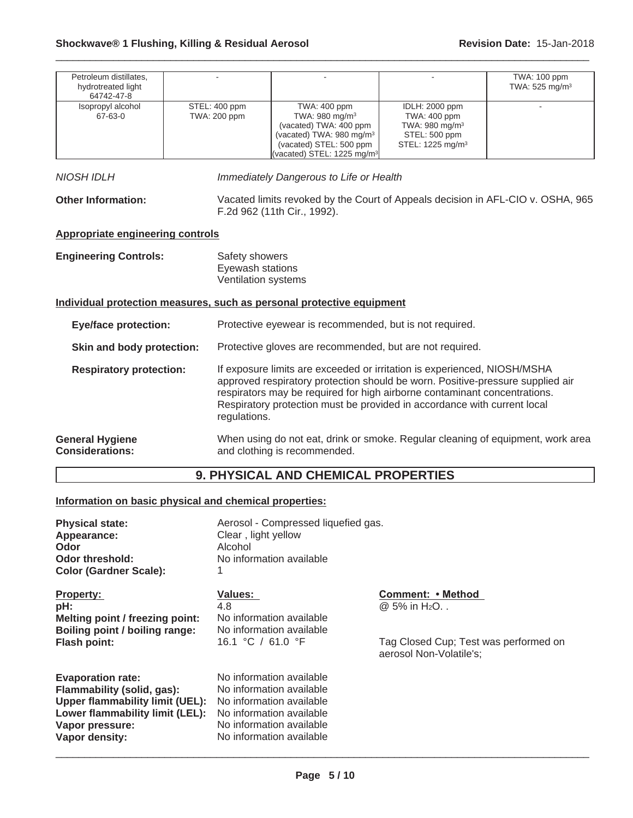| Petroleum distillates,<br>hydrotreated light<br>64742-47-8                            |                                                                                                                                                                                                                                                                                                                                                                       |                                                                                                                                                                                   |                                                                                                               | TWA: 100 ppm<br>TWA: 525 mg/m <sup>3</sup> |
|---------------------------------------------------------------------------------------|-----------------------------------------------------------------------------------------------------------------------------------------------------------------------------------------------------------------------------------------------------------------------------------------------------------------------------------------------------------------------|-----------------------------------------------------------------------------------------------------------------------------------------------------------------------------------|---------------------------------------------------------------------------------------------------------------|--------------------------------------------|
| Isopropyl alcohol<br>67-63-0                                                          | STEL: 400 ppm<br>TWA: 200 ppm                                                                                                                                                                                                                                                                                                                                         | TWA: 400 ppm<br>TWA: 980 mg/m <sup>3</sup><br>(vacated) TWA: 400 ppm<br>(vacated) TWA: 980 mg/m <sup>3</sup><br>(vacated) STEL: 500 ppm<br>(vacated) STEL: 1225 mg/m <sup>3</sup> | IDLH: 2000 ppm<br>TWA: 400 ppm<br>TWA: 980 mg/m <sup>3</sup><br>STEL: 500 ppm<br>STEL: 1225 mg/m <sup>3</sup> |                                            |
| NIOSH IDLH                                                                            |                                                                                                                                                                                                                                                                                                                                                                       | Immediately Dangerous to Life or Health                                                                                                                                           |                                                                                                               |                                            |
| <b>Other Information:</b>                                                             |                                                                                                                                                                                                                                                                                                                                                                       | Vacated limits revoked by the Court of Appeals decision in AFL-CIO v. OSHA, 965<br>F.2d 962 (11th Cir., 1992).                                                                    |                                                                                                               |                                            |
| Appropriate engineering controls                                                      |                                                                                                                                                                                                                                                                                                                                                                       |                                                                                                                                                                                   |                                                                                                               |                                            |
| <b>Engineering Controls:</b>                                                          | Safety showers<br>Eyewash stations                                                                                                                                                                                                                                                                                                                                    | Ventilation systems                                                                                                                                                               |                                                                                                               |                                            |
|                                                                                       |                                                                                                                                                                                                                                                                                                                                                                       | Individual protection measures, such as personal protective equipment                                                                                                             |                                                                                                               |                                            |
| <b>Eye/face protection:</b>                                                           |                                                                                                                                                                                                                                                                                                                                                                       | Protective eyewear is recommended, but is not required.                                                                                                                           |                                                                                                               |                                            |
| Skin and body protection:<br>Protective gloves are recommended, but are not required. |                                                                                                                                                                                                                                                                                                                                                                       |                                                                                                                                                                                   |                                                                                                               |                                            |
|                                                                                       | If exposure limits are exceeded or irritation is experienced, NIOSH/MSHA<br><b>Respiratory protection:</b><br>approved respiratory protection should be worn. Positive-pressure supplied air<br>respirators may be required for high airborne contaminant concentrations.<br>Respiratory protection must be provided in accordance with current local<br>regulations. |                                                                                                                                                                                   |                                                                                                               |                                            |
| <b>General Hygiene</b><br><b>Considerations:</b>                                      |                                                                                                                                                                                                                                                                                                                                                                       | When using do not eat, drink or smoke. Regular cleaning of equipment, work area<br>and clothing is recommended.                                                                   |                                                                                                               |                                            |

## **9. PHYSICAL AND CHEMICAL PROPERTIES**

## **Information on basic physical and chemical properties:**

| <b>Physical state:</b><br>Appearance:<br>Odor<br>Odor threshold:<br><b>Color (Gardner Scale):</b>                                                                               | Aerosol - Compressed liquefied gas.<br>Clear, light yellow<br>Alcohol<br>No information available                                                                    |                                                                  |
|---------------------------------------------------------------------------------------------------------------------------------------------------------------------------------|----------------------------------------------------------------------------------------------------------------------------------------------------------------------|------------------------------------------------------------------|
| <b>Property:</b><br>pH:<br>Melting point / freezing point:<br>Boiling point / boiling range:                                                                                    | <b>Values:</b><br>4.8<br>No information available<br>No information available                                                                                        | Comment: • Method<br>@ 5% in H <sub>2</sub> O                    |
| <b>Flash point:</b>                                                                                                                                                             | 16.1 °C / 61.0 °F                                                                                                                                                    | Tag Closed Cup; Test was performed on<br>aerosol Non-Volatile's; |
| <b>Evaporation rate:</b><br>Flammability (solid, gas):<br><b>Upper flammability limit (UEL):</b><br>Lower flammability limit (LEL):<br>Vapor pressure:<br><b>Vapor density:</b> | No information available<br>No information available<br>No information available<br>No information available<br>No information available<br>No information available |                                                                  |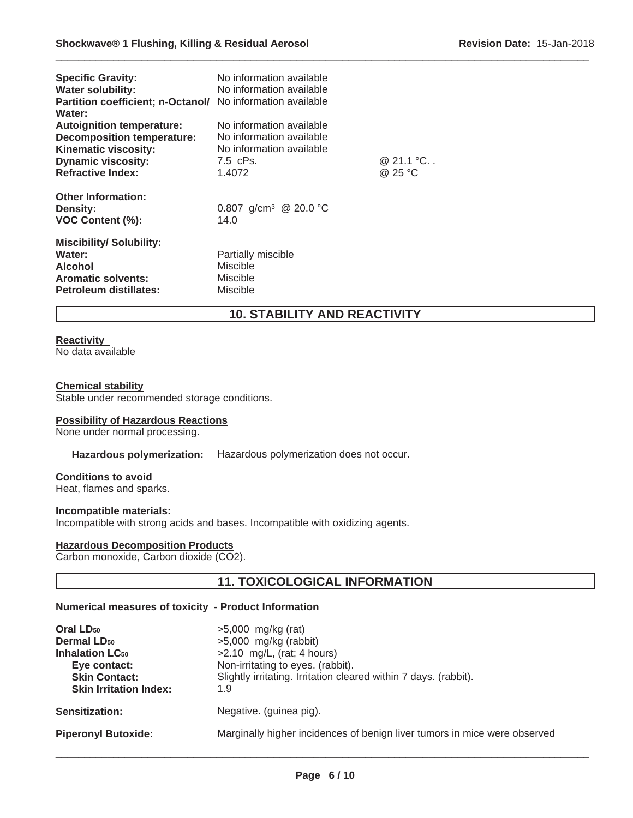| <b>Specific Gravity:</b><br><b>Water solubility:</b><br>Partition coefficient; n-Octanol/<br>Water:                                                    | No information available<br>No information available<br>No information available                       |                      |
|--------------------------------------------------------------------------------------------------------------------------------------------------------|--------------------------------------------------------------------------------------------------------|----------------------|
| <b>Autoignition temperature:</b><br><b>Decomposition temperature:</b><br>Kinematic viscosity:<br><b>Dynamic viscosity:</b><br><b>Refractive Index:</b> | No information available<br>No information available<br>No information available<br>7.5 cPs.<br>1.4072 | @ 21.1 °C<br>@ 25 °C |
| <b>Other Information:</b><br><b>Density:</b><br><b>VOC Content (%):</b>                                                                                | 0.807 g/cm <sup>3</sup> @ 20.0 °C<br>14.0                                                              |                      |
| <b>Miscibility/ Solubility:</b><br>Water:<br><b>Alcohol</b><br><b>Aromatic solvents:</b><br>Petroleum distillates:                                     | Partially miscible<br><b>Miscible</b><br>Miscible<br>Miscible                                          |                      |

## **10. STABILITY AND REACTIVITY**

 $\_$  ,  $\_$  ,  $\_$  ,  $\_$  ,  $\_$  ,  $\_$  ,  $\_$  ,  $\_$  ,  $\_$  ,  $\_$  ,  $\_$  ,  $\_$  ,  $\_$  ,  $\_$  ,  $\_$  ,  $\_$  ,  $\_$  ,  $\_$  ,  $\_$  ,  $\_$  ,  $\_$  ,  $\_$  ,  $\_$  ,  $\_$  ,  $\_$  ,  $\_$  ,  $\_$  ,  $\_$  ,  $\_$  ,  $\_$  ,  $\_$  ,  $\_$  ,  $\_$  ,  $\_$  ,  $\_$  ,  $\_$  ,  $\_$  ,

#### **Reactivity** No data available

#### **Chemical stability**

Stable under recommended storage conditions.

#### **Possibility of Hazardous Reactions**

None under normal processing.

## **Hazardous polymerization:** Hazardous polymerization does not occur.

#### **Conditions to avoid**

Heat, flames and sparks.

#### **Incompatible materials:**

Incompatible with strong acids and bases. Incompatible with oxidizing agents.

#### **Hazardous Decomposition Products**

Carbon monoxide, Carbon dioxide (CO2).

## **11. TOXICOLOGICAL INFORMATION**

#### **Numerical measures of toxicity - Product Information**

| Oral LD <sub>50</sub>             | $>5,000$ mg/kg (rat)                                                      |
|-----------------------------------|---------------------------------------------------------------------------|
| <b>Dermal LD<sub>50</sub></b>     | $>5,000$ mg/kg (rabbit)                                                   |
| <b>Inhalation LC<sub>50</sub></b> | $>2.10$ mg/L, (rat; 4 hours)                                              |
| Eye contact:                      | Non-irritating to eyes. (rabbit).                                         |
| <b>Skin Contact:</b>              | Slightly irritating. Irritation cleared within 7 days. (rabbit).          |
| <b>Skin Irritation Index:</b>     | 1.9                                                                       |
| <b>Sensitization:</b>             | Negative. (guinea pig).                                                   |
| <b>Piperonyl Butoxide:</b>        | Marginally higher incidences of benign liver tumors in mice were observed |
|                                   |                                                                           |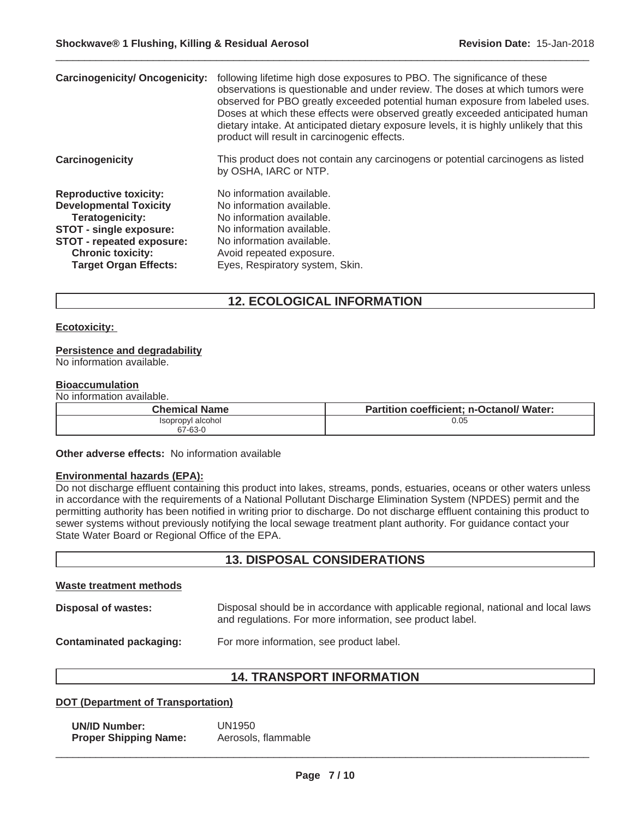| <b>Carcinogenicity/ Oncogenicity:</b>                                                                                                                                                                 | following lifetime high dose exposures to PBO. The significance of these<br>observations is questionable and under review. The doses at which tumors were<br>observed for PBO greatly exceeded potential human exposure from labeled uses.<br>Doses at which these effects were observed greatly exceeded anticipated human<br>dietary intake. At anticipated dietary exposure levels, it is highly unlikely that this<br>product will result in carcinogenic effects. |
|-------------------------------------------------------------------------------------------------------------------------------------------------------------------------------------------------------|------------------------------------------------------------------------------------------------------------------------------------------------------------------------------------------------------------------------------------------------------------------------------------------------------------------------------------------------------------------------------------------------------------------------------------------------------------------------|
| Carcinogenicity                                                                                                                                                                                       | This product does not contain any carcinogens or potential carcinogens as listed<br>by OSHA, IARC or NTP.                                                                                                                                                                                                                                                                                                                                                              |
| <b>Reproductive toxicity:</b><br><b>Developmental Toxicity</b><br>Teratogenicity:<br>STOT - single exposure:<br>STOT - repeated exposure:<br><b>Chronic toxicity:</b><br><b>Target Organ Effects:</b> | No information available.<br>No information available.<br>No information available.<br>No information available.<br>No information available.<br>Avoid repeated exposure.<br>Eyes, Respiratory system, Skin.                                                                                                                                                                                                                                                           |

## **12. ECOLOGICAL INFORMATION**

#### **Ecotoxicity:**

#### **Persistence and degradability**

No information available.

#### **Bioaccumulation**

No information available.

| Chemical Name     | <b>Partition coefficient; n-Octanol/ Water:</b> |
|-------------------|-------------------------------------------------|
| Isopropyl alcohol | 0.05                                            |
| 67-63-0           |                                                 |

**Other adverse effects:** No information available

#### **Environmental hazards (EPA):**

Do not discharge effluent containing this product into lakes, streams, ponds, estuaries, oceans or other waters unless in accordance with the requirements of a National Pollutant Discharge Elimination System (NPDES) permit and the permitting authority has been notified in writing prior to discharge. Do not discharge effluent containing this product to sewer systems without previously notifying the local sewage treatment plant authority. For guidance contact your State Water Board or Regional Office of the EPA.

## **13. DISPOSAL CONSIDERATIONS**

#### **Waste treatment methods**

**Disposal of wastes:** Disposal should be in accordance with applicable regional, national and local laws and regulations. For more information, see product label.

**Contaminated packaging:** For more information, see product label.

## **14. TRANSPORT INFORMATION**

#### **DOT (Department of Transportation)**

**UN/ID Number:** UN1950 **Proper Shipping Name:** Aerosols, flammable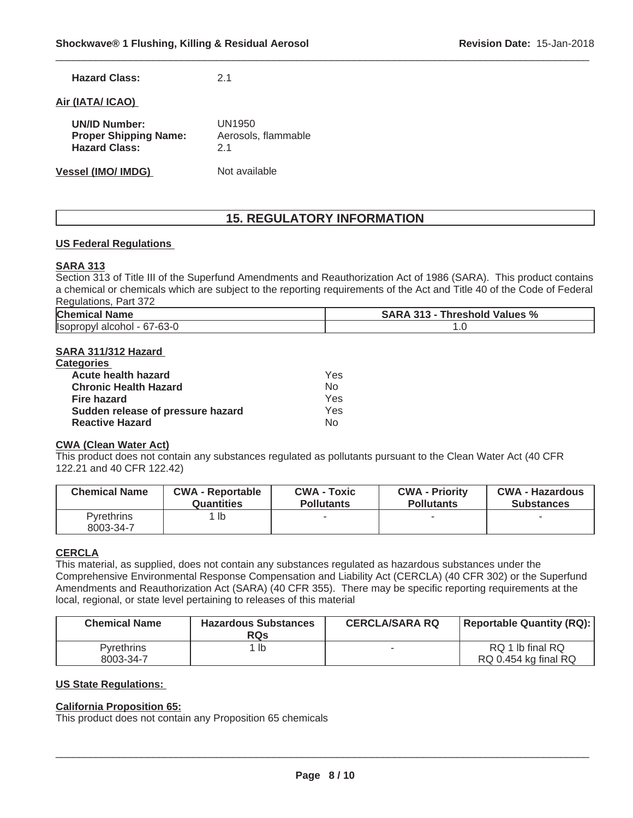| <b>Hazard Class:</b> |  | 2.1 |
|----------------------|--|-----|
|                      |  |     |

## **Air (IATA/ ICAO)**

| <b>UN/ID Number:</b>         | UN1950              |  |
|------------------------------|---------------------|--|
| <b>Proper Shipping Name:</b> | Aerosols, flammable |  |
| <b>Hazard Class:</b>         | 21                  |  |
| <b>Vessel (IMO/ IMDG)</b>    | Not available       |  |

## **15. REGULATORY INFORMATION**

 $\_$  ,  $\_$  ,  $\_$  ,  $\_$  ,  $\_$  ,  $\_$  ,  $\_$  ,  $\_$  ,  $\_$  ,  $\_$  ,  $\_$  ,  $\_$  ,  $\_$  ,  $\_$  ,  $\_$  ,  $\_$  ,  $\_$  ,  $\_$  ,  $\_$  ,  $\_$  ,  $\_$  ,  $\_$  ,  $\_$  ,  $\_$  ,  $\_$  ,  $\_$  ,  $\_$  ,  $\_$  ,  $\_$  ,  $\_$  ,  $\_$  ,  $\_$  ,  $\_$  ,  $\_$  ,  $\_$  ,  $\_$  ,  $\_$  ,

#### **US Federal Regulations**

#### **SARA 313**

Section 313 of Title III of the Superfund Amendments and Reauthorization Act of 1986 (SARA). This product contains a chemical or chemicals which are subject to the reporting requirements of the Act and Title 40 of the Code of Federal Regulations, Part 372

| <b>Chemical Name</b>                                   | Values %<br><b>SARA</b><br>. 313 - 1<br>Threshold, |
|--------------------------------------------------------|----------------------------------------------------|
| - 67-63-0<br><b>Ilsopro</b><br>alcohol<br>$\mathbf{v}$ | . . ب                                              |

#### **SARA 311/312 Hazard**

| <b>Categories</b>                 |     |
|-----------------------------------|-----|
| Acute health hazard               | Yes |
| <b>Chronic Health Hazard</b>      | Nο  |
| <b>Fire hazard</b>                | Yes |
| Sudden release of pressure hazard | Yes |
| <b>Reactive Hazard</b>            | N٥  |

#### **CWA (Clean Water Act)**

This product does not contain any substances regulated as pollutants pursuant to the Clean Water Act (40 CFR 122.21 and 40 CFR 122.42)

| <b>Chemical Name</b>           | <b>CWA - Reportable</b> | <b>CWA - Toxic</b> | <b>CWA - Priority</b> | <b>CWA - Hazardous</b> |
|--------------------------------|-------------------------|--------------------|-----------------------|------------------------|
|                                | <b>Quantities</b>       | <b>Pollutants</b>  | <b>Pollutants</b>     | <b>Substances</b>      |
| <b>Pyrethrins</b><br>8003-34-7 | $1$ lb                  |                    |                       |                        |

## **CERCLA**

This material, as supplied, does not contain any substances regulated as hazardous substances under the Comprehensive Environmental Response Compensation and Liability Act (CERCLA) (40 CFR 302) or the Superfund Amendments and Reauthorization Act (SARA) (40 CFR 355). There may be specific reporting requirements at the local, regional, or state level pertaining to releases of this material

| <b>Chemical Name</b>           | <b>Hazardous Substances</b><br><b>RQs</b> | <b>CERCLA/SARA RQ</b> | Reportable Quantity (RQ):                |
|--------------------------------|-------------------------------------------|-----------------------|------------------------------------------|
| <b>Pyrethrins</b><br>8003-34-7 | lb                                        |                       | RQ 1 lb final RQ<br>RQ 0.454 kg final RQ |

#### **US State Regulations:**

#### **California Proposition 65:**

This product does not contain any Proposition 65 chemicals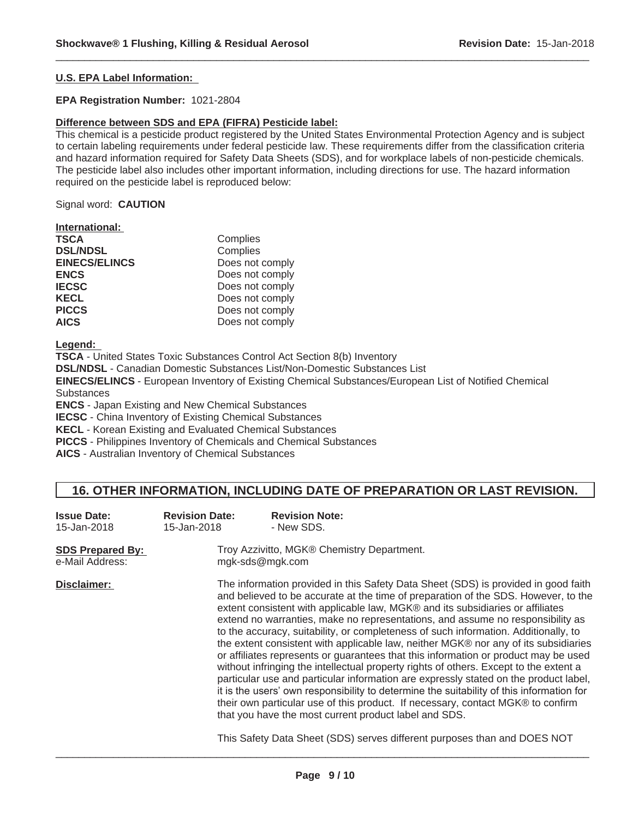#### **U.S. EPA Label Information:**

#### **EPA Registration Number:** 1021-2804

#### **Difference between SDS and EPA (FIFRA) Pesticide label:**

This chemical is a pesticide product registered by the United States Environmental Protection Agency and is subject to certain labeling requirements under federal pesticide law. These requirements differ from the classification criteria and hazard information required for Safety Data Sheets (SDS), and for workplace labels of non-pesticide chemicals. The pesticide label also includes other important information, including directions for use. The hazard information required on the pesticide label is reproduced below:

 $\_$  ,  $\_$  ,  $\_$  ,  $\_$  ,  $\_$  ,  $\_$  ,  $\_$  ,  $\_$  ,  $\_$  ,  $\_$  ,  $\_$  ,  $\_$  ,  $\_$  ,  $\_$  ,  $\_$  ,  $\_$  ,  $\_$  ,  $\_$  ,  $\_$  ,  $\_$  ,  $\_$  ,  $\_$  ,  $\_$  ,  $\_$  ,  $\_$  ,  $\_$  ,  $\_$  ,  $\_$  ,  $\_$  ,  $\_$  ,  $\_$  ,  $\_$  ,  $\_$  ,  $\_$  ,  $\_$  ,  $\_$  ,  $\_$  ,

Signal word: **CAUTION**

| International: |  |
|----------------|--|
|                |  |

| <b>TSCA</b>          | Complies        |
|----------------------|-----------------|
| <b>DSL/NDSL</b>      | Complies        |
| <b>EINECS/ELINCS</b> | Does not comply |
| ENCS                 | Does not comply |
| <b>IECSC</b>         | Does not comply |
| KECL                 | Does not comply |
| <b>PICCS</b>         | Does not comply |
| <b>AICS</b>          | Does not comply |

**Legend:**

**TSCA** - United States Toxic Substances Control Act Section 8(b) Inventory **DSL/NDSL** - Canadian Domestic Substances List/Non-Domestic Substances List

**EINECS/ELINCS** - European Inventory of Existing Chemical Substances/European List of Notified Chemical **Substances** 

**ENCS** - Japan Existing and New Chemical Substances

**IECSC** - China Inventory of Existing Chemical Substances

**KECL** - Korean Existing and Evaluated Chemical Substances

**PICCS** - Philippines Inventory of Chemicals and Chemical Substances

**AICS** - Australian Inventory of Chemical Substances

## **16. OTHER INFORMATION, INCLUDING DATE OF PREPARATION OR LAST REVISION.**

| <b>Issue Date:</b><br>15-Jan-2018          | <b>Revision Date:</b><br>15-Jan-2018 | <b>Revision Note:</b><br>- New SDS.                                                                                                                                                                                                                                                                                                                                                                                                                                                                                                                                                                                                                                                                                                                                                                                                                                                                                                                                                                                                        |
|--------------------------------------------|--------------------------------------|--------------------------------------------------------------------------------------------------------------------------------------------------------------------------------------------------------------------------------------------------------------------------------------------------------------------------------------------------------------------------------------------------------------------------------------------------------------------------------------------------------------------------------------------------------------------------------------------------------------------------------------------------------------------------------------------------------------------------------------------------------------------------------------------------------------------------------------------------------------------------------------------------------------------------------------------------------------------------------------------------------------------------------------------|
| <b>SDS Prepared By:</b><br>e-Mail Address: |                                      | Troy Azzivitto, MGK® Chemistry Department.<br>mgk-sds@mgk.com                                                                                                                                                                                                                                                                                                                                                                                                                                                                                                                                                                                                                                                                                                                                                                                                                                                                                                                                                                              |
| Disclaimer:                                |                                      | The information provided in this Safety Data Sheet (SDS) is provided in good faith<br>and believed to be accurate at the time of preparation of the SDS. However, to the<br>extent consistent with applicable law, MGK® and its subsidiaries or affiliates<br>extend no warranties, make no representations, and assume no responsibility as<br>to the accuracy, suitability, or completeness of such information. Additionally, to<br>the extent consistent with applicable law, neither MGK® nor any of its subsidiaries<br>or affiliates represents or guarantees that this information or product may be used<br>without infringing the intellectual property rights of others. Except to the extent a<br>particular use and particular information are expressly stated on the product label,<br>it is the users' own responsibility to determine the suitability of this information for<br>their own particular use of this product. If necessary, contact MGK® to confirm<br>that you have the most current product label and SDS. |
|                                            |                                      | This Safety Data Sheet (SDS) serves different purposes than and DOES NOT                                                                                                                                                                                                                                                                                                                                                                                                                                                                                                                                                                                                                                                                                                                                                                                                                                                                                                                                                                   |